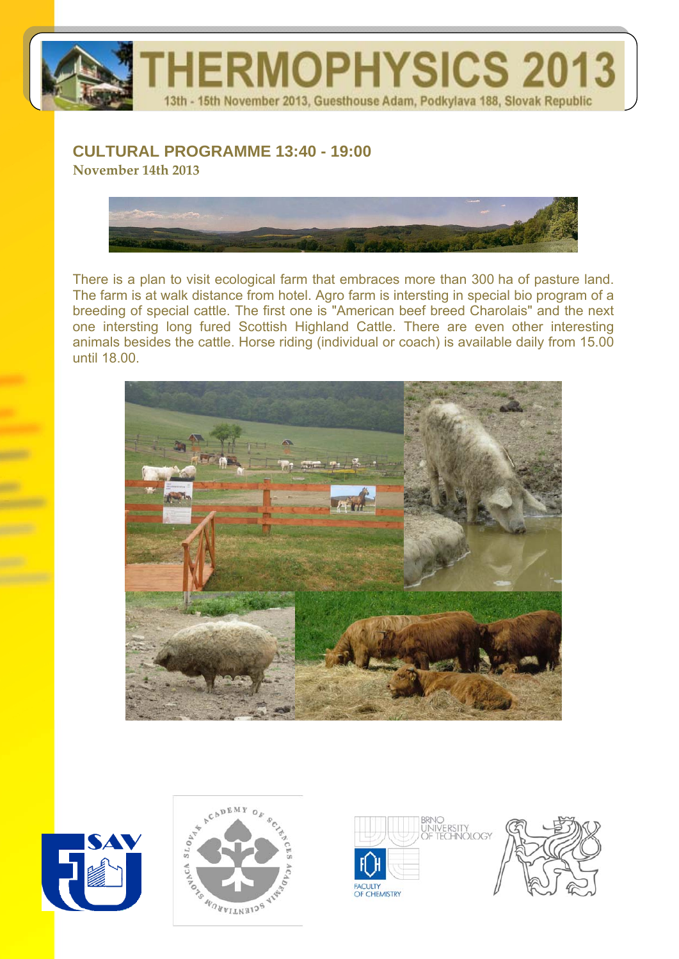

## **CULTURAL PROGRAMME 13:40 - 19:00**

**November 14th 2013**



There is a plan to visit ecological farm that embraces more than 300 ha of pasture land. The farm is at walk distance from hotel. Agro farm is intersting in special bio program of a breeding of special cattle. The first one is "American beef breed Charolais" and the next one intersting long fured Scottish Highland Cattle. There are even other interesting animals besides the cattle. Horse riding (individual or coach) is available daily from 15.00 until 18.00.









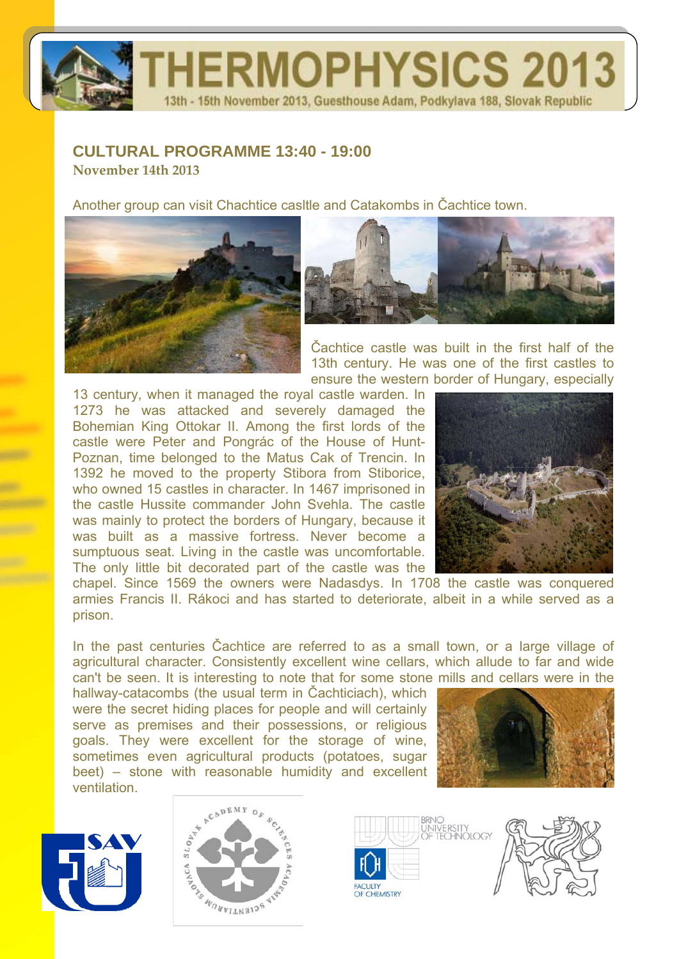# **ERMOPHYSICS 2013** 13th - 15th November 2013, Guesthouse Adam, Podkylava 188, Slovak Republic

#### **CULTURAL PROGRAMME 13:40 - 19:00 November 14th 2013**

Another group can visit Chachtice casltle and Catakombs in Čachtice town.





Čachtice castle was built in the first half of the 13th century. He was one of the first castles to ensure the western border of Hungary, especially

13 century, when it managed the royal castle warden. In 1273 he was attacked and severely damaged the Bohemian King Ottokar II. Among the first lords of the castle were Peter and Pongrác of the House of Hunt-Poznan, time belonged to the Matus Cak of Trencin. In 1392 he moved to the property Stibora from Stiborice, who owned 15 castles in character. In 1467 imprisoned in the castle Hussite commander John Svehla. The castle was mainly to protect the borders of Hungary, because it was built as a massive fortress. Never become a sumptuous seat. Living in the castle was uncomfortable. The only little bit decorated part of the castle was the



chapel. Since 1569 the owners were Nadasdys. In 1708 the castle was conquered armies Francis II. Rákoci and has started to deteriorate, albeit in a while served as a prison.

In the past centuries Čachtice are referred to as a small town, or a large village of agricultural character. Consistently excellent wine cellars, which allude to far and wide can't be seen. It is interesting to note that for some stone mills and cellars were in the

hallway-catacombs (the usual term in Čachticiach), which were the secret hiding places for people and will certainly serve as premises and their possessions, or religious goals. They were excellent for the storage of wine, sometimes even agricultural products (potatoes, sugar beet) – stone with reasonable humidity and excellent ventilation.









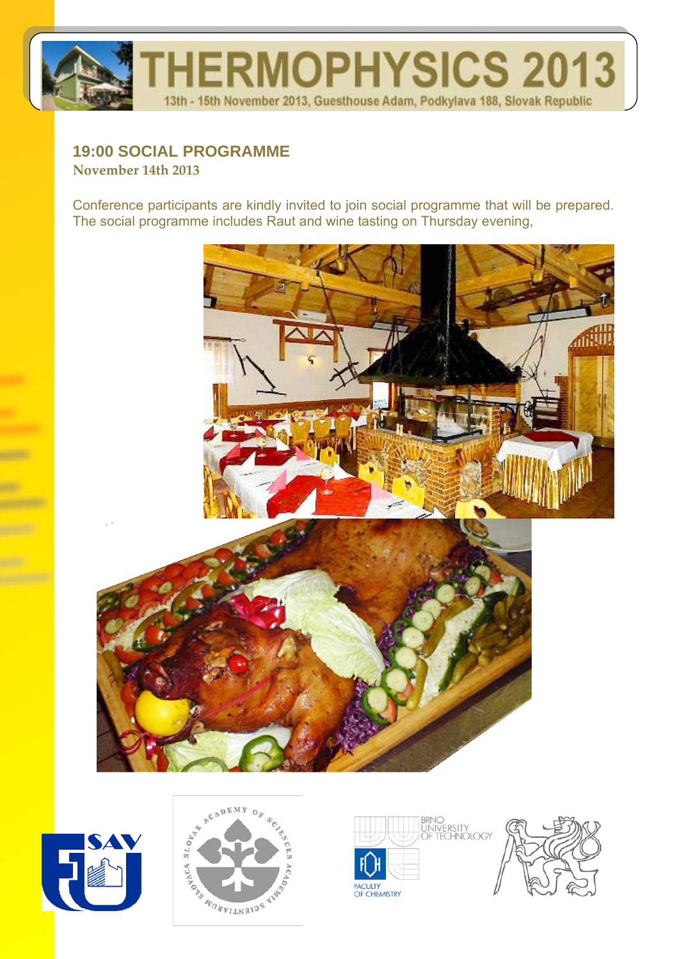

#### **19:00 SOCIAL PROGRAMME November 14th 2013**

Conference participants are kindly invited to join social programme that will be prepared. The social programme includes Raut and wine tasting on Thursday evening,